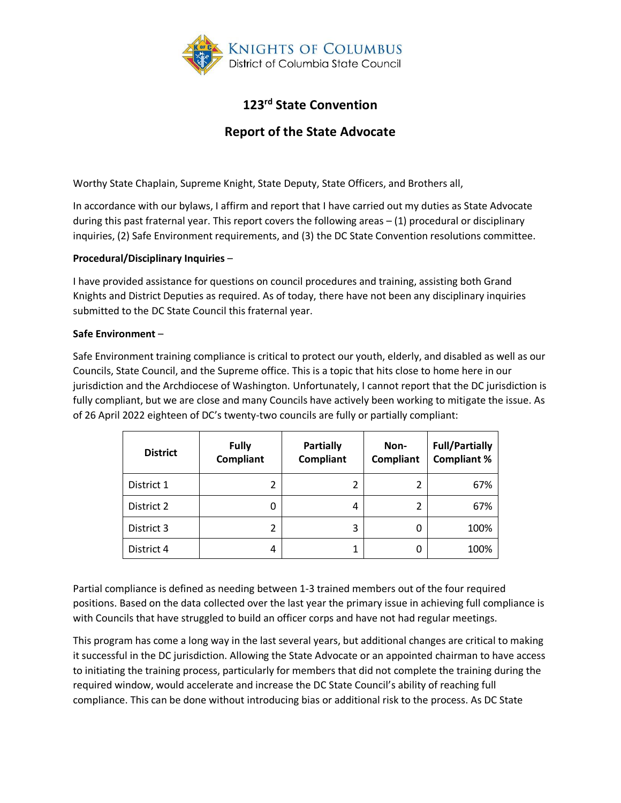

# **123rd State Convention**

## **Report of the State Advocate**

Worthy State Chaplain, Supreme Knight, State Deputy, State Officers, and Brothers all,

In accordance with our bylaws, I affirm and report that I have carried out my duties as State Advocate during this past fraternal year. This report covers the following areas – (1) procedural or disciplinary inquiries, (2) Safe Environment requirements, and (3) the DC State Convention resolutions committee.

### **Procedural/Disciplinary Inquiries** –

I have provided assistance for questions on council procedures and training, assisting both Grand Knights and District Deputies as required. As of today, there have not been any disciplinary inquiries submitted to the DC State Council this fraternal year.

### **Safe Environment** –

Safe Environment training compliance is critical to protect our youth, elderly, and disabled as well as our Councils, State Council, and the Supreme office. This is a topic that hits close to home here in our jurisdiction and the Archdiocese of Washington. Unfortunately, I cannot report that the DC jurisdiction is fully compliant, but we are close and many Councils have actively been working to mitigate the issue. As of 26 April 2022 eighteen of DC's twenty-two councils are fully or partially compliant:

| <b>District</b> | <b>Fully</b><br><b>Compliant</b> | <b>Partially</b><br><b>Compliant</b> | Non-<br><b>Compliant</b> | <b>Full/Partially</b><br><b>Compliant %</b> |
|-----------------|----------------------------------|--------------------------------------|--------------------------|---------------------------------------------|
| District 1      | 2                                | 2                                    |                          | 67%                                         |
| District 2      | 0                                | 4                                    |                          | 67%                                         |
| District 3      | 2                                | 3                                    |                          | 100%                                        |
| District 4      | 4                                | 1                                    |                          | 100%                                        |

Partial compliance is defined as needing between 1-3 trained members out of the four required positions. Based on the data collected over the last year the primary issue in achieving full compliance is with Councils that have struggled to build an officer corps and have not had regular meetings.

This program has come a long way in the last several years, but additional changes are critical to making it successful in the DC jurisdiction. Allowing the State Advocate or an appointed chairman to have access to initiating the training process, particularly for members that did not complete the training during the required window, would accelerate and increase the DC State Council's ability of reaching full compliance. This can be done without introducing bias or additional risk to the process. As DC State